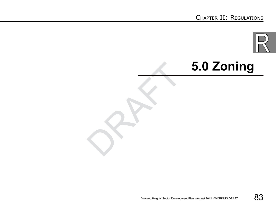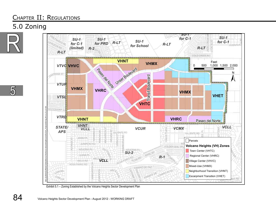### 5.0 Zoning





Exhibit 5.1 – Zoning Established by the Volcano Heights Sector Development Plan

5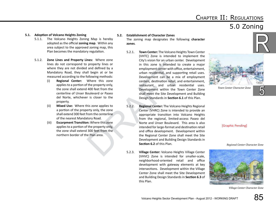#### Chapter II: Regulations 5.0 Zoning

#### **5.1. Adoption of Volcano Heights Zoning**

- 5.1.1. The Volcano Heights Zoning Map is hereby adopted as the official **zoning map**. Within any area subject to the approved zoning map, this Plan becomes the mandatory regulation.
- 5.1.2. **Zone Lines and Property Lines:** Where zone lines do not correspond to property lines or where they are not divided and defined by a Mandatory Road, they shall begin at or be measured according to the following methods:
	- (i) **Regional Center:** Where this zone applies to a portion of the property only, the zone shall extend 400 feet from the centerline of Unser Boulevard or Paseo del Norte, whichever is closer to the property.
	- (ii) **Mixed Use:** Where this zone applies to a portion of the property only, the zone shall extend 300 feet from the centerline of the nearest Mandatory Road.
	- (iii) **Escarpment Transition:** Where this zone applies to a portion of the property only, the zone shall extend 300 feet from the northern border of the Plan area.

#### **5.2. Establishment of Character Zones**

The zoning map designates the following **character zones**.

- 5.2.1. **Town Center:** The Volcano Heights Town Center (VHTC) Zone is intended to implement the City's vision for an urban center. Development in this zone is intended to create a major employment center with office, entertainment, urban residential, and supporting retail uses. Development can be a mix of employment centers, destination retail, and entertainment, restaurant, and urban residential uses. Development within the Town Center Zone shall meet the Site Development and Building Design Standards in **Section 6.1** of this Plan.
- property lines or<br>
and defined by a<br>
in this zone is intended to<br>
comployment center with office<br>
urban residential, and suppor<br>
Where this zone<br>
Where this zone<br>
the property only,<br>
estaurant, and urban respections are<br>
c 5.2.2. **Regional Center:** The Volcano Heights Regional Center (VHRC) Zone is intended to provide an appropriate transition into Volcano Heights from the regional, limited-access Paseo del Norte and Unser Boulevard. This area is also intended for large-format and destination retail and office development. Development within the Regional Center Zone shall meet the Site Development and Building Design Standards in **Section 6.2** of this Plan.
	- 5.2.3. **Village Center:** Volcano Heights Village Center (VHVC) Zone is intended for smaller-scale, neighborhood-oriented retail and office development with gateway elements at key intersections. Development within the Village Center Zone shall meet the Site Development and Building Design Standards in **Section 6.3** of this Plan.



*Town Center Character Zone*

#### [Graphic Pending]

#### *Regional Center Character Zone*



*Village Center Character Zone*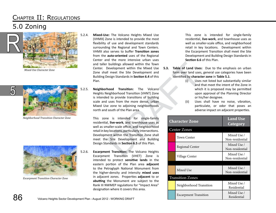#### Chapter II: Regulations 5.0 Zoning



*Mixed-Use Character Zone*



*Neighborhood Transition Character Zone*



*Escarpment Transition Character Zone*

86

5

- 5.2.4. **Mixed-Use:** The Volcano Heights Mixed Use (VHMX) Zone is intended to provide the most flexibility of use and development standards surrounding the Regional and Town Centers. VHMX also serves to buffer **Transition zones** from the **auto-oriented** uses of the Regional Center and the more intensive urban uses and taller buildings allowed within the Town Center. Development within the Mixed Use Zone shall meet the Site Development and Building Design Standards in **Section 6.4** of this Plan.
- 5.2.5. **Neighborhood Transition:** The Volcano Heights Neighborhood Transition (VHNT) Zone is intended to provide transitions of building scale and uses from the more dense, urban Mixed Use zone to adjoining neighborhoods north and south of the Plan area.

buildings allowed within the Town<br>
Development within the Mixed Use 5.3. Table of Land Uses:<br>
I meet the Site Development and form over land uses,<br>
esign Standards in Section 6.4 of this identified by charact<br>
nood Transit This zone is intended for single-family residential, **live-work**, and townhouse uses as well as smaller-scale office, and neighborhood retail in key locations, particularly intersections. Development within the Transition Zone shall meet the Site Development and Building Design Standards in **Section 6.5** of this Plan.

5.2.6. **Escarpment Transition:** The Volcano Heights Escarpment Transition (VHET) Zone is intended to protect **sensitive lands** in the eastern portion of the Plan area **adjacent** to the Petroglyph National Monument from the higher-density and intensity **mixed uses**  in adjacent zones. Properties **adjacent** to or **abutting** the Monument are subject to the Rank III NWMEP regulations for "Impact Area" designation where it covers this area.

This zone is intended for single-family residential, **live-work**, and townhouse uses as well as smaller-scale office, and neighborhood retail in key locations. Development within the Escarpment Transition shall meet the Site Development and Building Design Standards in **Section 6.6** of this Plan.

- **5.3. Table of Land Uses:** Due to the emphasis on urban form over land uses, general use categories have been identified by **character zone** in **Table 5.1**.
	- (i) Uses not listed but substantially similar and that meet the intent of the Zone in which it is proposed may be permitted upon approval of the Planning Director or his/her designee.
	- (ii) Uses shall have no noise, vibration, particulate, or odor that poses an adverse impact on adjacent properties.

| <b>Character Zone</b>        | <b>Land Use</b><br>Category    |
|------------------------------|--------------------------------|
| <b>Center Zones</b>          |                                |
| Town Center                  | Mixed Use /<br>Non-residential |
| <b>Regional Center</b>       | Mixed Use /<br>Non-residential |
| Village Center               | Mixed Use /<br>Non-residential |
| Mixed Use                    | Mixed Use /<br>Non-residential |
| <b>Transition Zones</b>      |                                |
| Neighborhood Transition      | Mixed Use /<br>Residential     |
| <b>Escarpment Transition</b> | Mixed Use /<br>Residential     |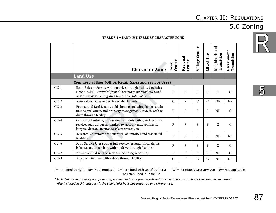#### 5.0 Zoning



| <b>TABLE 5.1 - LAND USE TABLE BY CHARACTER ZONE</b> |
|-----------------------------------------------------|
|-----------------------------------------------------|

|        | <b>Character Zone</b>                                                                                                                                                                        | Center<br>Town | Regional<br>Center | Center<br>Village | Mixed-Use    | Neighborhood<br>Transition | Escarpment<br>Transition |
|--------|----------------------------------------------------------------------------------------------------------------------------------------------------------------------------------------------|----------------|--------------------|-------------------|--------------|----------------------------|--------------------------|
|        | <b>Land Use</b>                                                                                                                                                                              |                |                    |                   |              |                            |                          |
|        | <b>Commercial Uses (Office, Retail, Sales and Service Uses)</b>                                                                                                                              |                |                    |                   |              |                            |                          |
| $CU-1$ | Retail Sales or Service with no drive through facility (includes<br>alcohol sales). Excluded from this category are retail sales and<br>service establishments geared toward the automobile. | $\mathbf{P}$   | $\mathbf{P}$       | $\mathbf{P}$      | $\mathbf{P}$ | $\mathsf{C}$               | $\overline{C}$           |
| $CU-2$ | Auto-related Sales or Service establishments                                                                                                                                                 | $\mathcal{C}$  | $\overline{P}$     | $\mathsf{C}$      | $\mathsf{C}$ | NP                         | NP                       |
| $CU-3$ | Finance and Real Estate establishments including banks, credit<br>unions, real estate, and property management services, with no<br>drive through facility                                   | P              | P                  | P                 | $\mathbf{p}$ | NP                         | $\mathsf{C}$             |
| $CU-4$ | Offices for business, professional, administrative, and technical<br>services such as, but not limited to, accountants, architects,<br>lawyers, doctors, insurance sales/services, etc.      | P              | P                  | P                 | P            | $\mathsf{C}$               | $\mathsf{C}$             |
| $CU-5$ | Research laboratory headquarters, laboratories and associated<br>facilities                                                                                                                  | $\mathbf{p}$   | $\mathbf{p}$       | $\mathbf{p}$      | P            | NP                         | NP                       |
| $CU-6$ | Food Service Uses such as full-service restaurants, cafeterias,<br>bakeries and snack bars with no drive-through facilities*                                                                 | P              | P                  | P                 | $\mathbf{P}$ | $\mathcal{C}$              | $\mathsf{C}$             |
| $CU-7$ | Pet and animal sales or service (including vet clinic)                                                                                                                                       | P              | P                  | P                 | P            | NP                         | $\mathsf{C}$             |
| $CU-8$ | Any permitted use with a drive through facility                                                                                                                                              | $\mathsf{C}$   | ${\bf P}$          | $\mathsf{C}$      | $\mathsf{C}$ | NP                         | NP                       |

5

 $P=$  Permitted by right NP= Not Permitted C = Permitted with specific criteria as established in **Table 5.2**

P/A = Permitted **Accessory Use** NA= Not applicable

\* *Included in this category is café seating within a public or private sidewalk area with no obstruction of pedestrian circulation. Also included in this category is the sale of alcoholic beverages on and off-premise.*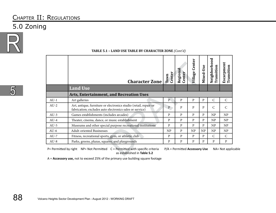#### 5.0 Zoning



|        | <b>Character Zone</b>                                                                                                        | Center<br>Town | Regional<br>Center              | Center<br><b>Village</b> | Mixed-Use | Neighborhood<br>Transition | Escarpment<br>Transition |
|--------|------------------------------------------------------------------------------------------------------------------------------|----------------|---------------------------------|--------------------------|-----------|----------------------------|--------------------------|
|        | <b>Land Use</b>                                                                                                              |                |                                 |                          |           |                            |                          |
|        | <b>Arts, Entertainment, and Recreation Uses</b>                                                                              |                |                                 |                          |           |                            |                          |
| $AU-1$ | Art galleries                                                                                                                | P              | P                               | P                        | P         | $\mathsf{C}$               | $\mathsf{C}$             |
| $AU-2$ | Art, antique, furniture or electronics studio (retail, repair or<br>fabrication; excludes auto electronics sales or service) | P              | P                               | P                        | P         | C                          | $\mathsf{C}$             |
| $AU-3$ | Games establishments (includes arcades)                                                                                      | P              | P                               | P                        | P         | NP                         | NP                       |
| $AU-4$ | Theater, cinema, dance, or music establishment                                                                               | P              | P                               | P                        | P         | NP                         | NP                       |
| $AU-5$ | Museums and other special purpose recreational institutions                                                                  | P              | P                               | P                        | P         | NP                         | NP                       |
| $AU-6$ | Adult-oriented Businesses                                                                                                    | NP             | P                               | NP                       | NP        | NP                         | NP                       |
| $AU-7$ | Fitness, recreational sports, gym, or athletic club                                                                          | P              | P                               | P                        | P         | $\mathcal{C}$              | $\mathcal{C}$            |
| $AU-8$ | Parks, greens, plazas, squares, and playgrounds                                                                              | P              | P                               | $\mathbf{P}$             | P         | P                          | $\mathbf{P}$             |
|        | P= Permitted by right  NP= Not Permitted  C = Permitted with specific criteria<br>as established in Table 5.2                |                | $P/A = Permitted$ Accessory Use |                          |           |                            | NA= Not appli            |

#### **Table 5.1 – Land Use Table by Character Zone** *(Cont'd)*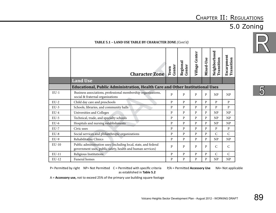### 5.0 Zoning



#### **Table 5.1 – Land Use Table by Character Zone** *(Cont'd)*

|         | <b>Character Zone</b>                                                                                                         | Center<br>Town | Regional<br><b>Center</b> | <b>Village Center</b> | Mixed-Use    | Neighborhood<br><b>Transition</b> | Escarpment<br>Transition |
|---------|-------------------------------------------------------------------------------------------------------------------------------|----------------|---------------------------|-----------------------|--------------|-----------------------------------|--------------------------|
|         | <b>Land Use</b>                                                                                                               |                |                           |                       |              |                                   |                          |
|         | <b>Educational, Public Administration, Health Care and Other Institutional Uses</b>                                           |                |                           |                       |              |                                   |                          |
| $EU-1$  | Business associations, professional membership organizations,<br>social & fraternal organizations                             | P              | P                         | P                     | P            | NP                                | <b>NP</b>                |
| $EU-2$  | Child day care and preschools                                                                                                 | P              | P                         | $\mathbf{p}$          | P            | P                                 | $\mathbf{p}$             |
| $EU-3$  | Schools, libraries, and community halls                                                                                       | P              | P                         | $\mathbf{P}$          | $\mathbf{P}$ | $\mathbf{P}$                      | $\mathbf{P}$             |
| $EU-4$  | Universities and Colleges                                                                                                     | P              | P                         | P                     | P            | NP                                | NP                       |
| $EU-5$  | Technical, trade, and specialty schools                                                                                       | P              | P                         | P                     | P            | NP                                | NP                       |
| $EU-6$  | Hospitals and nursing establishments                                                                                          | $\mathbf{p}$   | P                         | $\mathbf{P}$          | P            | NP                                | <b>NP</b>                |
| $EU-7$  | Civic uses                                                                                                                    | P              | P                         | P                     | P            | P                                 | P                        |
| $EU-8$  | Social services and philanthropic organizations                                                                               | $\mathbf{p}$   | P                         | P                     | $\mathbf{p}$ | $\mathcal{C}$                     | $\mathsf{C}$             |
| $EU-9$  | Rehabilitative Clinics                                                                                                        | P              | P                         | P                     | P            | NP                                | NP                       |
| $EU-10$ | Public administration uses (including local, state, and federal<br>government uses, public safety, health and human services) | P              | P                         | P                     | P            | $\mathcal{C}$                     | $\mathcal{C}$            |
| $EU-11$ | Religious Institutions                                                                                                        | P              | P                         | P                     | P            | $\mathsf{C}$                      | $\mathsf{C}$             |
| EU-12   | Funeral homes                                                                                                                 | P              | P                         | P                     | P            | NP                                | <b>NP</b>                |

5

P= Permitted by right NP= Not Permitted C = Permitted with specific criteria as established in **Table 5.2**

P/A = Permitted **Accessory Use** NA= Not applicable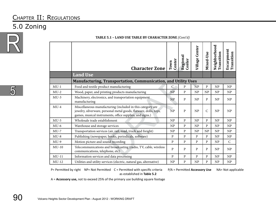#### 5.0 Zoning



5

|         | <b>Character Zone</b>                                                                                                                                                                       | Center<br>Town | Regional<br>Center | <b>Village Center</b> | Mixed-Use    | Neighborhood<br>Transition | <b>Escarpment</b><br>Transition |
|---------|---------------------------------------------------------------------------------------------------------------------------------------------------------------------------------------------|----------------|--------------------|-----------------------|--------------|----------------------------|---------------------------------|
|         | <b>Land Use</b>                                                                                                                                                                             |                |                    |                       |              |                            |                                 |
|         | <b>Manufacturing, Transportation, Communication, and Utility Uses</b>                                                                                                                       |                |                    |                       |              |                            |                                 |
| $MU-1$  | Food and textile product manufacturing                                                                                                                                                      | $\mathsf{C}$   | ${\bf P}$          | <b>NP</b>             | P            | NP                         | NP                              |
| $MU-2$  | Wood, paper, and printing products manufacturing                                                                                                                                            | <b>NP</b>      | $\mathbf{P}$       | NP                    | NP           | NP                         | NP                              |
| $MU-3$  | Machinery, electronics, and transportation equipment<br>manufacturing                                                                                                                       | NP             | $\mathbf{P}$       | NP                    | $\mathbf{P}$ | NP                         | NP                              |
| $MU-4$  | Miscellaneous manufacturing (included in this category are<br>jewelry, silverware, personal metal goods, flatware, dolls, toys,<br>games, musical instruments, office supplies, and signs.) | <b>NP</b>      | P                  | NP                    | $\mathsf{C}$ | NP                         | NP                              |
| $MU-5$  | Wholesale trade establishment                                                                                                                                                               | NP             | $\mathbf{P}$       | NP                    | P            | NP                         | NP                              |
| $MU-6$  | Warehouse and storage services                                                                                                                                                              | NP             | $\mathbf{P}$       | NP                    | $\mathbf{P}$ | NP                         | NP                              |
| $MU-7$  | Transportation services (air, rail, road, truck and freight)                                                                                                                                | NP             | $\mathbf{P}$       | NP                    | NP           | NP                         | NP                              |
| $MU-8$  | Publishing (newspaper, books, periodicals, software)                                                                                                                                        | P              | $\mathbf{P}$       | $\mathbf{P}$          | $\mathbf{P}$ | NP                         | NP                              |
| $MU-9$  | Motion picture and sound recording                                                                                                                                                          | $\mathbf{P}$   | ${\bf P}$          | $\mathbf{P}$          | P            | NP                         | $\mathsf{C}$                    |
| $MU-10$ | Telecommunications and broadcasting (radio, TV, cable, wireless<br>communications, telephone, etc)                                                                                          | ${\bf P}$      | $\mathbf{P}$       | $\mathbf{P}$          | P            | NP                         | NP                              |
| $MU-11$ | Information services and data processing                                                                                                                                                    | $\mathbf{P}$   | ${\bf P}$          | $\mathbf{P}$          | P            | NP                         | NP                              |
| $MU-12$ | Utilities and utility services (electric, natural gas, alternative)                                                                                                                         | NP             | P                  | NP                    | P            | NP                         | NP                              |

**Table 5.1 – Land Use Table by Character Zone** *(Cont'd)*

 $P=$  Permitted by right NP= Not Permitted  $C=$  Permitted with specific criteria as established in **Table 5.2**

P/A = Permitted **Accessory Use** NA= Not applicable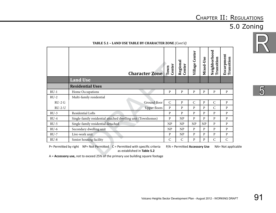## 5.0 Zoning



**Table 5.1 – Land Use Table by Character Zone** *(Cont'd)*

|          | <b>Character Zone</b>                                                                                                                                                                                           | Center<br>Town | Regional<br>Center              | Village Center | Mixed-Use    | Neighborhood<br>Transition | Escarpment<br>Transition |
|----------|-----------------------------------------------------------------------------------------------------------------------------------------------------------------------------------------------------------------|----------------|---------------------------------|----------------|--------------|----------------------------|--------------------------|
|          | <b>Land Use</b>                                                                                                                                                                                                 |                |                                 |                |              |                            |                          |
|          | <b>Residential Uses</b>                                                                                                                                                                                         |                |                                 |                |              |                            |                          |
| $RU-1$   | Home Occupations                                                                                                                                                                                                | P              | $\, {\bf p}$                    | P              | $\mathbf{P}$ | ${\bf P}$                  | P                        |
| $RU-2$   | Multi-family residential                                                                                                                                                                                        |                |                                 |                |              |                            |                          |
| $RU-2G$  | Ground floor                                                                                                                                                                                                    | $\mathsf{C}$   | P                               | $\mathsf{C}$   | P            | $\mathsf{C}$               | P                        |
| $RU-2-U$ | <b>Upper floors</b>                                                                                                                                                                                             | $\, {\bf p}$   | $\mathbf{p}$                    | P              | P            | $\mathsf{C}$               | P                        |
| $RU-3$   | Residential Lofts                                                                                                                                                                                               | P              | $\mathbf{p}$                    | P              | P            | P                          | P                        |
| $RU-4$   | Single-family residential attached dwelling unit (Townhomes)                                                                                                                                                    | P              | NP                              | P              | P            | P                          | P                        |
| $RU-5$   | Single-family residential detached                                                                                                                                                                              | NP             | NP                              | NP             | NP           | P                          | P                        |
| $RU-6$   | Secondary dwelling unit                                                                                                                                                                                         | NP             | NP                              | $\, {\bf p}$   | P            | ${\bf P}$                  | $\mathbf{P}$             |
| $RU-7$   | Live-work unit                                                                                                                                                                                                  | P              | NP                              | ${\bf P}$      | $\mathbf{P}$ | ${\bf P}$                  | P                        |
| $RU-8$   | Senior housing facility                                                                                                                                                                                         | $\mathsf{C}$   | $\mathsf{C}$                    | P              | $\mathbf{P}$ | $\mathsf C$                | $\mathsf{C}$             |
|          | P= Permitted by right $NP = Not$ Permitted $C = Permitted$ with specific criteria<br>as established in Table 5.2<br>$\Delta = \Delta$ cressory use not to exceed 25% of the primary use building square footage |                | $P/A = Permitted$ Accessory Use |                |              |                            | NA= Not applica          |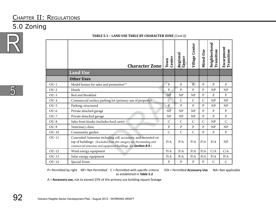#### 5.0 Zoning



5

|              | mno con mibili bi chinetorini lorre torre a                                                                                                                                                           |                |                    |                       |              |                            |                                 |
|--------------|-------------------------------------------------------------------------------------------------------------------------------------------------------------------------------------------------------|----------------|--------------------|-----------------------|--------------|----------------------------|---------------------------------|
|              | <b>Character Zone</b>                                                                                                                                                                                 | Center<br>Town | Regional<br>Center | <b>Village Center</b> | Mixed-Use    | Neighborhood<br>Transition | <b>Escarpment</b><br>Transition |
|              | <b>Land Use</b>                                                                                                                                                                                       |                |                    |                       |              |                            |                                 |
|              | <b>Other Uses</b>                                                                                                                                                                                     |                |                    |                       |              |                            |                                 |
| $OU-1$       | Model homes for sales and promotion**                                                                                                                                                                 | $\mathbf{P}$   | $\mathbf{P}$       | $\overline{P}$        | $\mathbf{P}$ | $\mathbf{p}$               | P                               |
| $OU-2$       | Hotels                                                                                                                                                                                                | $\, {\bf p}$   | $\mathbf{P}$       | $\mathbf{p}$          | $\mathbf{P}$ | NP                         | NP                              |
| $OU-3$       | <b>Bed and Breakfast</b>                                                                                                                                                                              | NP             | NP                 | NP                    | P            | $\mathbf{P}$               | $\mathbf{P}$                    |
| $OU-4$       | Commercial surface parking lot (primary use of property)                                                                                                                                              | $\overline{C}$ | $\mathsf{C}$       | $\mathsf{C}$          | $\mathsf{C}$ | NP                         | NP                              |
| $OU-5$       | Parking, structured                                                                                                                                                                                   | $\mathbf{P}$   | $\mathbf{P}$       | $\overline{P}$        | $\mathbf{P}$ | NP                         | NP                              |
| $OU-6$       | Private attached garage                                                                                                                                                                               | NP             | NP                 | NP                    | P            | P                          | $\mathbf{P}$                    |
| $OU-7$       | Private detached garage                                                                                                                                                                               | NP             | NP                 | NP                    | P            | $\mathbf{P}$               | $\mathbf{P}$                    |
| $OU-8$       | Sales from kiosks (includes food carts)                                                                                                                                                               | $\mathsf{C}$   | $\mathsf{C}$       | $\mathsf{C}$          | $\mathsf{C}$ | NP                         | $\mathsf C$                     |
| $OU-9$       | Veterinary clinic                                                                                                                                                                                     | $\mathbf{P}$   | $\mathbf{P}$       | $\mathbf{P}$          | P            | NP                         | NP                              |
| $OU-10$      | Community garden                                                                                                                                                                                      | $\mathsf{C}$   | $\mathsf{C}$       | $\overline{C}$        | $\mathbf{P}$ | $\mathbf{p}$               | $\, {\bf p}$                    |
| $OU-11$      | Concealed Antennas including cell, accessory, and mounted on<br>top of buildings. (Excluded from this category are freestanding and<br>commercial antennas and equipment buildings. See Section 8.9.) | P/A            | P/A                | P/A                   | P/A          | P/A                        | NP                              |
| $OU-12$      | Wind energy equipment                                                                                                                                                                                 | P/A            | P/A                | P/A                   | P/A          | C/A                        | C/A                             |
| $OU-13$      | Solar energy equipment                                                                                                                                                                                | P/A            | P/A                | P/A                   | P/A          | P/A                        | P/A                             |
| <b>OU-14</b> | Special Event                                                                                                                                                                                         | ${\bf P}$      | ${\bf P}$          | $\, {\bf p}$          | ${\bf P}$    | ${\bf C}$                  | $\mathsf{C}$                    |

**Table 5.1 – Land Use Table by Character Zone** *(Cont'd)*

P= Permitted by right NP= Not Permitted C = Permitted with specific criteria as established in **Table 5.2**

P/A = Permitted **Accessory Use** NA= Not applicable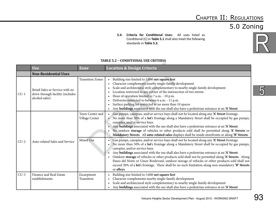#### Volcano Heights Sector Development Plan - August 2012 - WORKING DRAFT

R

 $\overline{5}$ 

|        | <b>Use</b>                                                                            | Zone                              | <b>Location &amp; Design Criteria</b>                                                                                                                                                                                                                                                                                                                                                                                                                                                                                                                                                                                                                                      |
|--------|---------------------------------------------------------------------------------------|-----------------------------------|----------------------------------------------------------------------------------------------------------------------------------------------------------------------------------------------------------------------------------------------------------------------------------------------------------------------------------------------------------------------------------------------------------------------------------------------------------------------------------------------------------------------------------------------------------------------------------------------------------------------------------------------------------------------------|
|        | <b>Non-Residential Uses</b>                                                           |                                   |                                                                                                                                                                                                                                                                                                                                                                                                                                                                                                                                                                                                                                                                            |
| $CU-1$ | Retail Sales or Service with no<br>drive-through facility (includes<br>alcohol sales) | <b>Transition Zones</b>           | Building size limited to 5,000 net square feet<br>$\bullet$<br>Character complements nearby single-family development<br>Scale and architectural style complementary to nearby single-family development<br>Location restricted to any corner of the intersection of two streets<br>Hour of operation limited to 7 a.m. - 10 p.m.<br>Deliveries restricted to between 6 a.m. - 11 p.m.<br>$\bullet$<br>Surface parking lot restricted to no more than 10 spaces<br>Any buildings associated with the use shall also have a pedestrian entrance at an 'A' Street                                                                                                            |
|        |                                                                                       | Town Center and<br>Village Center | • Gas pumps, canopies, and/or service bays shall not be located along any 'A' Street frontage.<br>• No more than 50% of a lot's frontage along a Mandatory Street shall be occupied by gas pumps,<br>canopies, and/or service bays.<br>Any buildings associated with the use shall also have a pedestrian entrance at an 'A' Street.<br>No outdoor storage of vehicles or other products sold shall be permitted along 'A' Streets or<br>Mandatory Streets. All auto-related sales displays shall be inside storefronts or along 'B' Streets.                                                                                                                              |
| $CU-2$ | Auto-related Sales and Service                                                        | Mixed Use                         | Gas pumps, canopies, and/or service bays shall not be located along any 'A' Street frontage.<br>No more than 50% of a lot's frontage along a Mandatory Street shall be occupied by gas pumps,<br>$\bullet$<br>canopies, and/or service bays.<br>Any buildings associated with the use shall also have a pedestrian entrance at an 'A' Street.<br>Outdoor storage of vehicles or other products sold shall not be permitted along 'A' Streets. Along<br>Paseo del Norte or Unser Boulevard, outdoor storage of vehicles or other products sold shall not<br>exceed 50% of a lot's frontage. There shall be no such limitation along non-mandatory 'B' Streets<br>or alleys. |
| $CU-3$ | Finance and Real Estate<br>establishments                                             | Escarpment<br>Transition          | Building size limited to 5,000 net square feet<br>Character complements nearby single-family development<br>Scale and architectural style complementary to nearby single-family development<br>Any buildings associated with the use shall also have a pedestrian entrance at an 'A' Street<br>$\bullet$                                                                                                                                                                                                                                                                                                                                                                   |

#### **Table 5.2 – Conditional Use Criteria**

**5.4. Criteria for Conditional Uses:** All uses listed as Conditional (C) in **Table 5.1** shall also meet the following standards in **Table 5.2.**

#### Chapter II: Regulations 5.0 Zoning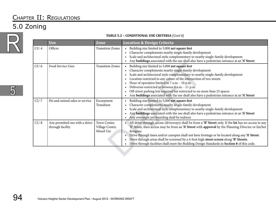### 5.0 Zoning



|        | <b>Use</b>                                          | Zone                                         | <b>Location &amp; Design Criteria</b>                                                                                                                                                                                                                                                                                                                                                                                                                                                                                                                      |
|--------|-----------------------------------------------------|----------------------------------------------|------------------------------------------------------------------------------------------------------------------------------------------------------------------------------------------------------------------------------------------------------------------------------------------------------------------------------------------------------------------------------------------------------------------------------------------------------------------------------------------------------------------------------------------------------------|
| $CU-4$ | Offices                                             | <b>Transition Zones</b>                      | • Building size limited to 5,000 net square feet<br>• Character complements nearby single-family development<br>• Scale and architectural style complementary to nearby single-family development<br>• Any buildings associated with the use shall also have a pedestrian entrance at an 'A' Street                                                                                                                                                                                                                                                        |
| $CU-6$ | Food Service Uses                                   | <b>Transition Zones</b>                      | • Building size limited to 5,000 net square feet<br>• Character complements nearby single-family development<br>Scale and architectural style complementary to nearby single-family development<br>Location restricted to any corner of the intersection of two streets<br>Hour of operation limited to 7 a.m. - 10 p.m.<br>Deliveries restricted to between 6 a.m. - 11 p.m.<br>Off-street parking lots required but restricted to no more than 25 spaces<br>Any buildings associated with the use shall also have a pedestrian entrance at an 'A' Street |
| $CU-7$ | Pet and animal sales or service                     | Escarpment<br>Transition                     | Building size limited to 5,000 net square feet<br>Character complements nearby single-family development<br>Scale and architectural style complementary to nearby single-family development<br>Any buildings associated with the use shall also have a pedestrian entrance at an 'A' Street<br>• Any overnight pet boarding shall be indoors                                                                                                                                                                                                               |
| $CU-8$ | Any permitted use with a drive-<br>through facility | Town Center,<br>Village Center,<br>Mixed Use | • All drive-through access (driveways) shall be from a 'B' Street only. If the lot has no access to any<br>'B' Street, then access may be from an 'A' Street with approval by the Planning Director or his/her<br>designee.<br>• Drive through lanes and/or canopies shall not have frontage or be located along any 'A' Street.<br>Drive through areas shall be screened by a 4-foot high street screen along 'B' Streets.<br>• Drive through facilities shall meet the Building Design Standards in Section 8 of this code.                              |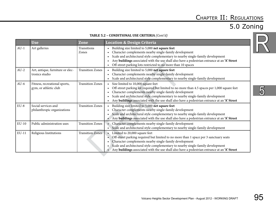### 5.0 Zoning

#### **Table 5.2 – Conditional Use Criteria** *(Cont'd)*

| TABLE 5.2 - CONDITIONAL USE CRITERIA (Cont'd) |                                                        |                             |                                                                                                                                                                                                                                                                                                                                                                                  |  |  |  |  |
|-----------------------------------------------|--------------------------------------------------------|-----------------------------|----------------------------------------------------------------------------------------------------------------------------------------------------------------------------------------------------------------------------------------------------------------------------------------------------------------------------------------------------------------------------------|--|--|--|--|
|                                               | <b>Use</b>                                             | <b>Zone</b>                 | <b>Location &amp; Design Criteria</b>                                                                                                                                                                                                                                                                                                                                            |  |  |  |  |
| $AU-1$                                        | Art galleries                                          | <b>Transitions</b><br>Zones | Building size limited to 5,000 net square feet<br>Character complements nearby single-family development<br>Scale and architectural style complementary to nearby single-family development<br>Any buildings associated with the use shall also have a pedestrian entrance at an 'A' Street<br>Off-street parking lots restricted to no more than 10 spaces                      |  |  |  |  |
| $AU-2$                                        | Art, antique, furniture or elec-<br>tronics studio     | <b>Transition Zones</b>     | Building size limited to 5,000 net square feet<br>Character complements nearby single-family development<br>Scale and architectural style complementary to nearby single-family development                                                                                                                                                                                      |  |  |  |  |
| $AU-6$                                        | Fitness, recreational sports,<br>gym, or athletic club | <b>Transition Zones</b>     | Size limited to 10,000 square feet<br>Off-street parking lot required but limited to no more than 4.5 spaces per 1,000 square feet<br>Character complements nearby single-family development<br>Scale and architectural style complementary to nearby single-family development<br>Any buildings associated with the use shall also have a pedestrian entrance at an 'A' Street  |  |  |  |  |
| $EU-8$                                        | Social services and<br>philanthropic organizations     | <b>Transition Zones</b>     | Building size limited to 5,000 net square feet<br>Character complements nearby single-family development<br>Scale and architectural style complementary to nearby single-family development<br>Any buildings associated with the use shall also have a pedestrian entrance at an 'A' Street                                                                                      |  |  |  |  |
| $EU-10$                                       | Public administration uses                             | <b>Transition Zones</b>     | Character complements nearby single-family development<br>Scale and architectural style complementary to nearby single-family development<br>$\bullet$                                                                                                                                                                                                                           |  |  |  |  |
| $EU-11$                                       | Religious Institutions                                 | <b>Transition Zones</b>     | Limited to 20,000 square feet<br>Off-street parking required but limited to no more than 1 space per 3 sanctuary seats<br>Character complements nearby single-family development<br>Scale and architectural style complementary to nearby single-family development<br>$\bullet$<br>Any buildings associated with the use shall also have a pedestrian entrance at an 'A' Street |  |  |  |  |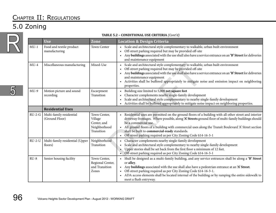## 5.0 Zoning



| TABLE 5.2 - CONDITIONAL USE CRITERIA (Cont'd) |                                            |                                                                      |                                                                                                                                                                                                                                                                                                                                                                                                                                                                   |  |  |
|-----------------------------------------------|--------------------------------------------|----------------------------------------------------------------------|-------------------------------------------------------------------------------------------------------------------------------------------------------------------------------------------------------------------------------------------------------------------------------------------------------------------------------------------------------------------------------------------------------------------------------------------------------------------|--|--|
|                                               | <b>Use</b>                                 | <b>Zone</b>                                                          | <b>Location &amp; Design Criteria</b>                                                                                                                                                                                                                                                                                                                                                                                                                             |  |  |
| $MU-1$                                        | Food and textile product<br>manufacturing  | Town Center                                                          | • Scale and architectural style complementary to walkable, urban built environment<br>Off-street parking required but may be provided off-site<br>Any buildings associated with the use shall also have a service entrance on an 'B' Street for deliveries<br>and maintenance equipment                                                                                                                                                                           |  |  |
| $MU-4$                                        | Miscellaneous manufacturing                | Mixed-Use                                                            | Scale and architectural style complementary to walkable, urban built environment<br>$\bullet$<br>Off-street parking required but may be provided off-site<br>Any buildings associated with the use shall also have a service entrance on an 'B' Street for deliveries<br>and maintenance equipment<br>• Activities shall be buffered appropriately to mitigate noise and emission impact on neighboring<br>properties.                                            |  |  |
| $MU-9$                                        | Motion picture and sound<br>recording      | Escarpment<br>Transition                                             | • Building size limited to 5,000 net square feet<br>Character complements nearby single-family development<br>Scale and architectural style complementary to nearby single-family development<br>Activities shall be buffered appropriately to mitigate noise impact on neighboring properties.                                                                                                                                                                   |  |  |
|                                               | <b>Residential Uses</b>                    |                                                                      |                                                                                                                                                                                                                                                                                                                                                                                                                                                                   |  |  |
| $RU-2-G$                                      | Multi-family residential<br>(Ground Floor) | Town Center,<br>Village<br>Center, and<br>Neighborhood<br>Transition | Residential uses are permitted on the ground floors of a building with all other street and interior<br>driveway frontages. Where possible, along 'A' Streets ground floor of multi-family buildings should<br>be a commercial use.<br>• All ground floors of a building with commercial uses along the Transit Boulevard 'A' Street section<br>shall be built to commercial-ready standards.<br>• Off-street parking required as per City Zoning Code §14-16-3-1 |  |  |
| $RU-2-U$                                      | Multi-family residential (Upper<br>floors) | Neighborhood<br>Transition                                           | Character complements nearby single-family development<br>Scale and architectural style complementary to nearby single-family development<br>Upper stories shall be set back from the first floor a minimum of 12 feet.<br>Off-street parking required as per City Zoning Code §14-16-3-1                                                                                                                                                                         |  |  |
| $RU-8$                                        | Senior housing facility                    | Town Center,<br>Regional Center,<br>and Transition<br>Zones          | Shall be designed as a multi-family building, and any service entrances shall be along a 'B' Street<br>$\bullet$<br>or alley.<br>Any buildings associated with the use shall also have a pedestrian entrance at an 'A' Street.<br>Off-street parking required as per City Zoning Code §14-16-3-1.<br>ADA access elements shall be located internal of the building or by ramping the entire sidewalk to<br>meet a flush entryway.                                 |  |  |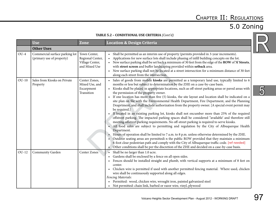## 5.0 Zoning

R

5

#### **Table 5.2 – Conditional Use Criteria** *(Cont'd)*

|         | <b>Use</b>                                                  | <b>Zone</b>                                                          | <b>Location &amp; Design Criteria</b>                                                                                                                                                                                                                                                                                                                                                                                                                                                                                                                                                                                                                                                                                                                                                                                                                                                                                                                                                                                                                                                                                                                                                                                                                                                                                                                                                                                                                                                                                |  |  |
|---------|-------------------------------------------------------------|----------------------------------------------------------------------|----------------------------------------------------------------------------------------------------------------------------------------------------------------------------------------------------------------------------------------------------------------------------------------------------------------------------------------------------------------------------------------------------------------------------------------------------------------------------------------------------------------------------------------------------------------------------------------------------------------------------------------------------------------------------------------------------------------------------------------------------------------------------------------------------------------------------------------------------------------------------------------------------------------------------------------------------------------------------------------------------------------------------------------------------------------------------------------------------------------------------------------------------------------------------------------------------------------------------------------------------------------------------------------------------------------------------------------------------------------------------------------------------------------------------------------------------------------------------------------------------------------------|--|--|
|         | <b>Other Uses</b>                                           |                                                                      |                                                                                                                                                                                                                                                                                                                                                                                                                                                                                                                                                                                                                                                                                                                                                                                                                                                                                                                                                                                                                                                                                                                                                                                                                                                                                                                                                                                                                                                                                                                      |  |  |
| $OU-4$  | Commercial surface parking lot<br>(primary use of property) | Town Center,<br>Regional Center,<br>Village Center,<br>and Mixed Use | Shall be permitted as an interim use of property (permits provided in 3-year increments).<br>Applications for new surface lots shall include phasing of infill building concepts on the lot.<br>New surface parking shall be set back a minimum of 30 feet from the edge of the ROW of 'A' Streets,<br>with street screen and buffer landscaping provided within setback area.<br>New surface parking shall not be located at a street intersection for a minimum distance of 30 feet<br>along each street from the intersection.                                                                                                                                                                                                                                                                                                                                                                                                                                                                                                                                                                                                                                                                                                                                                                                                                                                                                                                                                                                    |  |  |
| $OU-10$ | Sales from Kiosks on Private<br>Property                    | Center Zones,<br>Mixed Use, and<br>Escarpment<br>Transition          | Sales of goods from mobile kiosks are permitted as a temporary land use, typically limited to 6<br>months or less but subject to determination by the ZHE on a case-by-case basis.<br>Kiosks shall be placed in appropriate locations, such as off-street parking areas or paved areas with<br>the permission of the property owner.<br>If one location has more than five (5) kiosks, the site layout and location shall be indicated on a<br>$\bullet$<br>site plan on file with the Environmental Health Department, Fire Department, and the Planning<br>Deaprtment, and shall include authorization from the property owner. [A special event permit may<br>be required.]<br>If located in an existing parking lot, kiosks shall not encumber more than 25% of the required<br>$\bullet$<br>offstreet parking. The impacted parking spaces shall be considered "available' and therefore still<br>meeting offstreet parking requirements. No off-street parking is required to serve kiosks.<br>• All food sales are subject to permitting and regulation by the City of Albuquerque Health<br>Department.<br>Hours of operation shall be limited to 7 a.m. to 8 p.m. unless otherwise determined by the ZHE.<br>Outdoor seating areas are permittedi n the public ROW provided that they maintain a minimum<br>6-foot clear pedestrian path and comply with the City of Albuquerque traffic code. [ref needed]<br>Other conditions shall be per the discretion of the ZHE and decided on a case-by-case basis. |  |  |
| $OU-12$ | Community Garden                                            | <b>Center Zones</b>                                                  | Shall be no larger than 1.0 acre.<br>Gardens shall be enclosed by a fence on all open sides.<br>Fences should be installed straight and plumb, with vertical supports at a minimum of 8 feet on<br>$\bullet$<br>center.<br>Chicken wire is permitted if used with another permitted fencing material. Where used, chicken<br>$\bullet$<br>wire shall be continuously supported along all edges.<br>Fencing Materials:<br>Permitted: wood, chicken wire, wrought iron, painted galvanized steel<br>Not permitted: chain link, barbed or razor wire, vinyl, plywood                                                                                                                                                                                                                                                                                                                                                                                                                                                                                                                                                                                                                                                                                                                                                                                                                                                                                                                                                    |  |  |